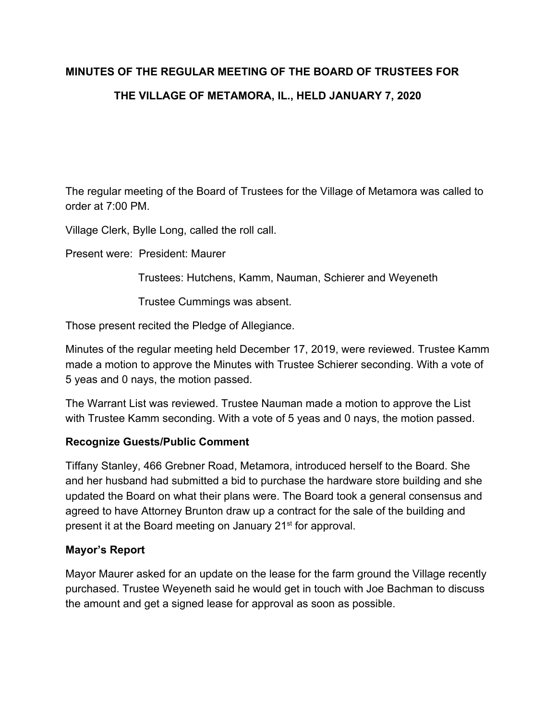# **MINUTES OF THE REGULAR MEETING OF THE BOARD OF TRUSTEES FOR THE VILLAGE OF METAMORA, IL., HELD JANUARY 7, 2020**

The regular meeting of the Board of Trustees for the Village of Metamora was called to order at 7:00 PM.

Village Clerk, Bylle Long, called the roll call.

Present were: President: Maurer

Trustees: Hutchens, Kamm, Nauman, Schierer and Weyeneth

Trustee Cummings was absent.

Those present recited the Pledge of Allegiance.

Minutes of the regular meeting held December 17, 2019, were reviewed. Trustee Kamm made a motion to approve the Minutes with Trustee Schierer seconding. With a vote of 5 yeas and 0 nays, the motion passed.

The Warrant List was reviewed. Trustee Nauman made a motion to approve the List with Trustee Kamm seconding. With a vote of 5 yeas and 0 nays, the motion passed.

#### **Recognize Guests/Public Comment**

Tiffany Stanley, 466 Grebner Road, Metamora, introduced herself to the Board. She and her husband had submitted a bid to purchase the hardware store building and she updated the Board on what their plans were. The Board took a general consensus and agreed to have Attorney Brunton draw up a contract for the sale of the building and present it at the Board meeting on January 21<sup>st</sup> for approval.

# **Mayor's Report**

Mayor Maurer asked for an update on the lease for the farm ground the Village recently purchased. Trustee Weyeneth said he would get in touch with Joe Bachman to discuss the amount and get a signed lease for approval as soon as possible.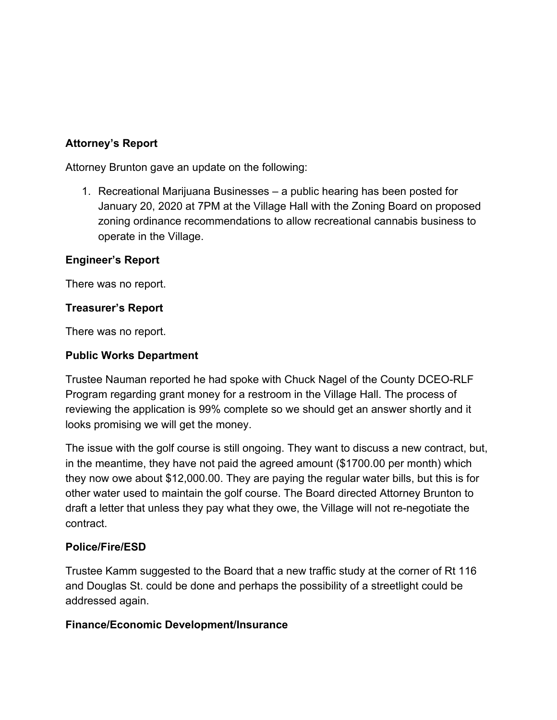# **Attorney's Report**

Attorney Brunton gave an update on the following:

1. Recreational Marijuana Businesses – a public hearing has been posted for January 20, 2020 at 7PM at the Village Hall with the Zoning Board on proposed zoning ordinance recommendations to allow recreational cannabis business to operate in the Village.

## **Engineer's Report**

There was no report.

## **Treasurer's Report**

There was no report.

## **Public Works Department**

Trustee Nauman reported he had spoke with Chuck Nagel of the County DCEO-RLF Program regarding grant money for a restroom in the Village Hall. The process of reviewing the application is 99% complete so we should get an answer shortly and it looks promising we will get the money.

The issue with the golf course is still ongoing. They want to discuss a new contract, but, in the meantime, they have not paid the agreed amount (\$1700.00 per month) which they now owe about \$12,000.00. They are paying the regular water bills, but this is for other water used to maintain the golf course. The Board directed Attorney Brunton to draft a letter that unless they pay what they owe, the Village will not re-negotiate the contract.

#### **Police/Fire/ESD**

Trustee Kamm suggested to the Board that a new traffic study at the corner of Rt 116 and Douglas St. could be done and perhaps the possibility of a streetlight could be addressed again.

# **Finance/Economic Development/Insurance**